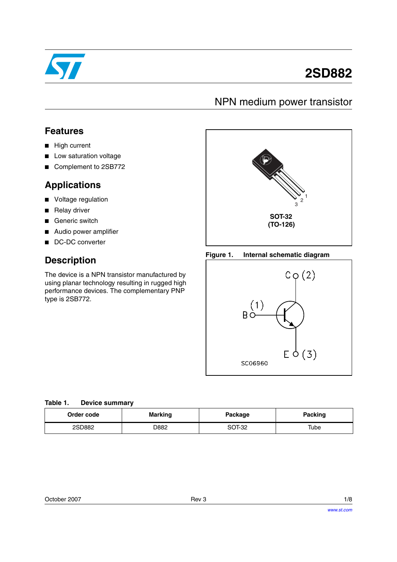

# **2SD882**

# NPN medium power transistor

### **Features**

- High current
- Low saturation voltage
- Complement to 2SB772

### **Applications**

- Voltage regulation
- Relay driver
- Generic switch
- Audio power amplifier
- DC-DC converter

# **Description**

The device is a NPN transistor manufactured by using planar technology resulting in rugged high performance devices. The complementary PNP type is 2SB772.



#### **Figure 1. Internal schematic diagram**



| Order code | <b>Marking</b> | Package | <b>Packing</b> |
|------------|----------------|---------|----------------|
| 2SD882     | D882           | SOT-32  | Tube           |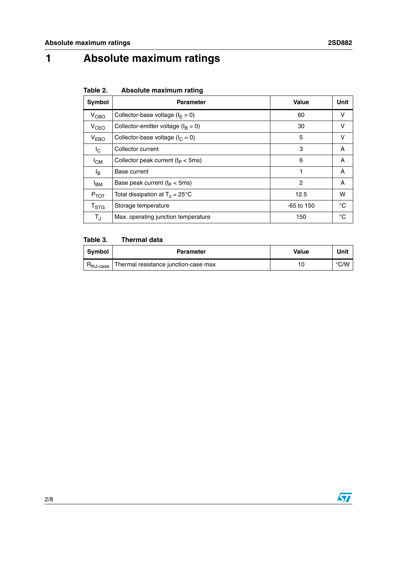# **1 Absolute maximum ratings**

| Table 2. |  | Absolute maximum rating |  |
|----------|--|-------------------------|--|
|----------|--|-------------------------|--|

| Symbol           | <b>Parameter</b>                          | Value | Unit |
|------------------|-------------------------------------------|-------|------|
| $V_{CBO}$        | Collector-base voltage ( $I_F = 0$ )      | 60    | ν    |
| V <sub>CEO</sub> | Collector-emitter voltage ( $I_B = 0$ )   | 30    | v    |
| V <sub>EBO</sub> | Collector-base voltage ( $I_C = 0$ )      | 5     | v    |
| Ic.              | Collector current                         | 3     | A    |
| $I_{CM}$         | Collector peak current $(t_P < 5ms)$      | 6     | A    |
| l <sub>B</sub>   | Base current                              | 1     | A    |
| <sup>I</sup> BM  | Base peak current $(t_P < 5ms)$           | 2     | A    |
| $P_{TOT}$        | Total dissipation at $T_c = 25^{\circ}$ C | 12.5  | w    |
| $T_{\rm STG}$    | Storage temperature<br>$-65$ to 150       |       | °C   |
| $T_{\rm J}$      | Max. operating junction temperature       | 150   | °C   |

### **Table 3. Thermal data**

| <b>Symbol</b> | <b>Parameter</b>                     | Value | Unit |
|---------------|--------------------------------------|-------|------|
| hJ-case       | Thermal resistance junction-case max |       | °C/W |

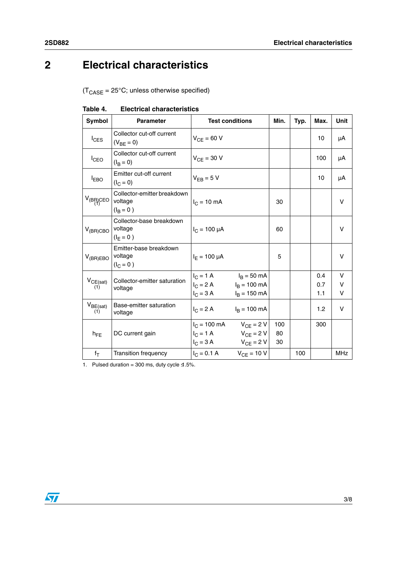# **2 Electrical characteristics**

 $(T_{\text{CASE}} = 25^{\circ} \text{C}$ ; unless otherwise specified)

| Symbol               | <b>Parameter</b>                                      | <b>Test conditions</b>                                                                                                    |                        | Min.            | Typ. | Max.              | Unit        |
|----------------------|-------------------------------------------------------|---------------------------------------------------------------------------------------------------------------------------|------------------------|-----------------|------|-------------------|-------------|
| $I_{CES}$            | Collector cut-off current<br>$(V_{BF} = 0)$           | $V_{CF} = 60 V$                                                                                                           |                        |                 |      | 10                | μA          |
| $I_{\text{CEO}}$     | Collector cut-off current<br>$(I_B = 0)$              | $V_{CF}$ = 30 V                                                                                                           |                        |                 |      | 100               | μA          |
| $I_{EBO}$            | Emitter cut-off current<br>$(I_C = 0)$                | $V_{FB} = 5 V$                                                                                                            |                        |                 |      | 10                | μA          |
| $V_{(BR)CEO}$        | Collector-emitter breakdown<br>voltage<br>$(I_B = 0)$ | $I_C = 10 \text{ mA}$                                                                                                     |                        | 30              |      |                   | V           |
| $V_{(BR)CBO}$        | Collector-base breakdown<br>voltage<br>$(I_F = 0)$    | $I_C = 100 \mu A$                                                                                                         |                        | 60              |      |                   | V           |
| $V_{(BR)EBO}$        | Emitter-base breakdown<br>voltage<br>$(I_C = 0)$      | $I_F = 100 \mu A$                                                                                                         |                        | 5               |      |                   | v           |
| $V_{CE(sat)}$<br>(1) | Collector-emitter saturation<br>voltage               | $I_C = 1 \text{ A}$ $I_B = 50 \text{ mA}$<br>$I_C = 2 A$ $I_B = 100 mA$<br>$I_C = 3 A$                                    | $I_B = 150$ mA         |                 |      | 0.4<br>0.7<br>1.1 | v<br>V<br>V |
| $V_{BE(sat)}$<br>(1) | Base-emitter saturation<br>voltage                    | $I_C = 2 A$                                                                                                               | $I_B = 100 \text{ mA}$ |                 |      | 1.2               | V           |
| $h_{FE}$             | DC current gain                                       | $I_C = 100 \text{ mA}$ $V_{CF} = 2 \text{ V}$<br>$I_C = 1 \text{ A}$ $V_{CF} = 2 \text{ V}$<br>$I_C = 3 A$ $V_{CE} = 2 V$ |                        | 100<br>80<br>30 |      | 300               |             |
| $f_T$                | Transition frequency                                  | $I_C = 0.1 A$ $V_{CE} = 10 V$                                                                                             |                        |                 | 100  |                   | <b>MHz</b>  |

| Table 4. | <b>Electrical characteristics</b> |
|----------|-----------------------------------|
|----------|-----------------------------------|

1. Pulsed duration = 300 ms, duty cycle  $\leq 1.5\%$ .

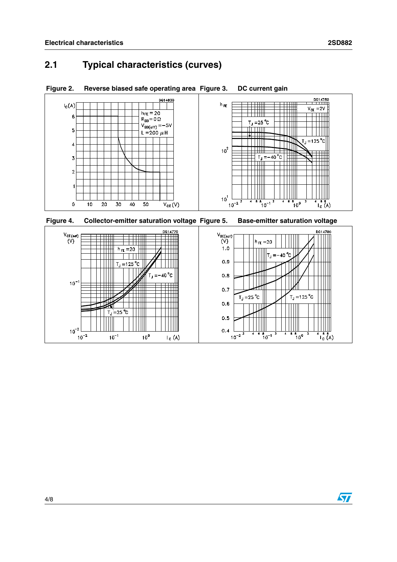# **2.1 Typical characteristics (curves)**



**Figure 2. Reverse biased safe operating area Figure 3. DC current gain**



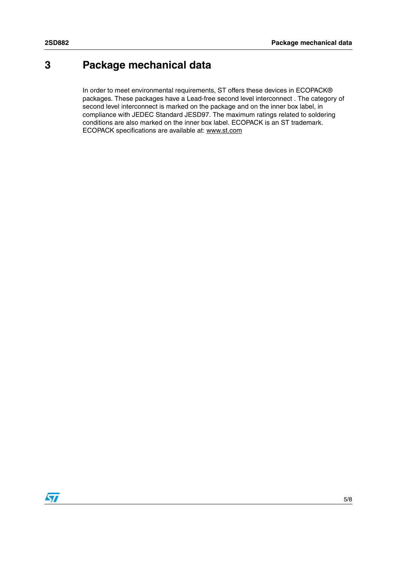# **3 Package mechanical data**

In order to meet environmental requirements, ST offers these devices in ECOPACK® packages. These packages have a Lead-free second level interconnect . The category of second level interconnect is marked on the package and on the inner box label, in compliance with JEDEC Standard JESD97. The maximum ratings related to soldering conditions are also marked on the inner box label. ECOPACK is an ST trademark. ECOPACK specifications are available at: www.st.com

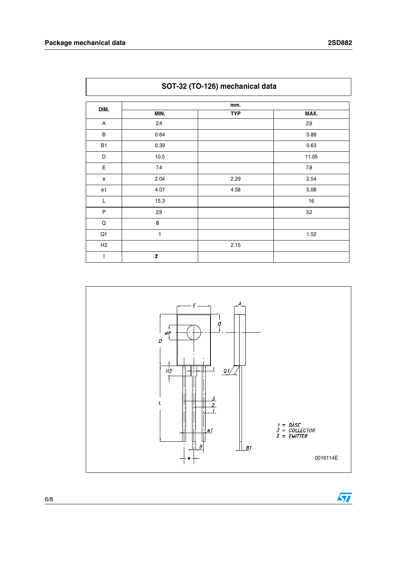|                | SOT-32 (TO-126) mechanical data |            |       |  |
|----------------|---------------------------------|------------|-------|--|
| DIM.           | mm.                             |            |       |  |
|                | MIN.                            | <b>TYP</b> | MAX.  |  |
| A              | 2.4                             |            | 2.9   |  |
| B              | 0.64                            |            | 0.88  |  |
| <b>B1</b>      | 0.39                            |            | 0.63  |  |
| D              | 10.5                            |            | 11.05 |  |
| Е              | 7.4                             |            | 7.8   |  |
| ${\bf e}$      | 2.04                            | 2.29       | 2.54  |  |
| e1             | 4.07                            | 4.58       | 5.08  |  |
| L              | 15.3                            |            | $16$  |  |
| $\sf P$        | 2.9                             |            | 3.2   |  |
| $\mathsf Q$    | 8                               |            |       |  |
| Q1             | 1                               |            | 1.52  |  |
| H <sub>2</sub> |                                 | 2.15       |       |  |
| I              | 2                               |            |       |  |

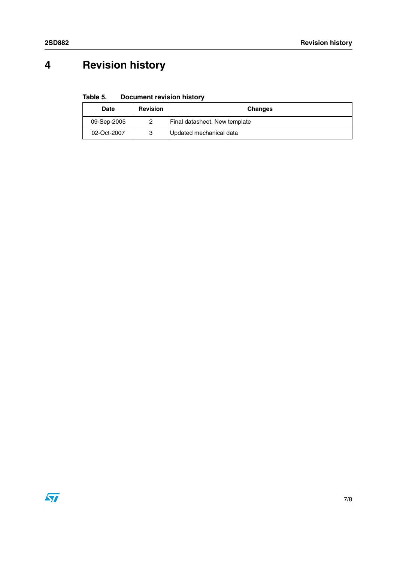# **4 Revision history**

**Table 5. Document revision history**

| <b>Date</b> | <b>Revision</b> | <b>Changes</b>                |
|-------------|-----------------|-------------------------------|
| 09-Sep-2005 |                 | Final datasheet. New template |
| 02-Oct-2007 |                 | Updated mechanical data       |